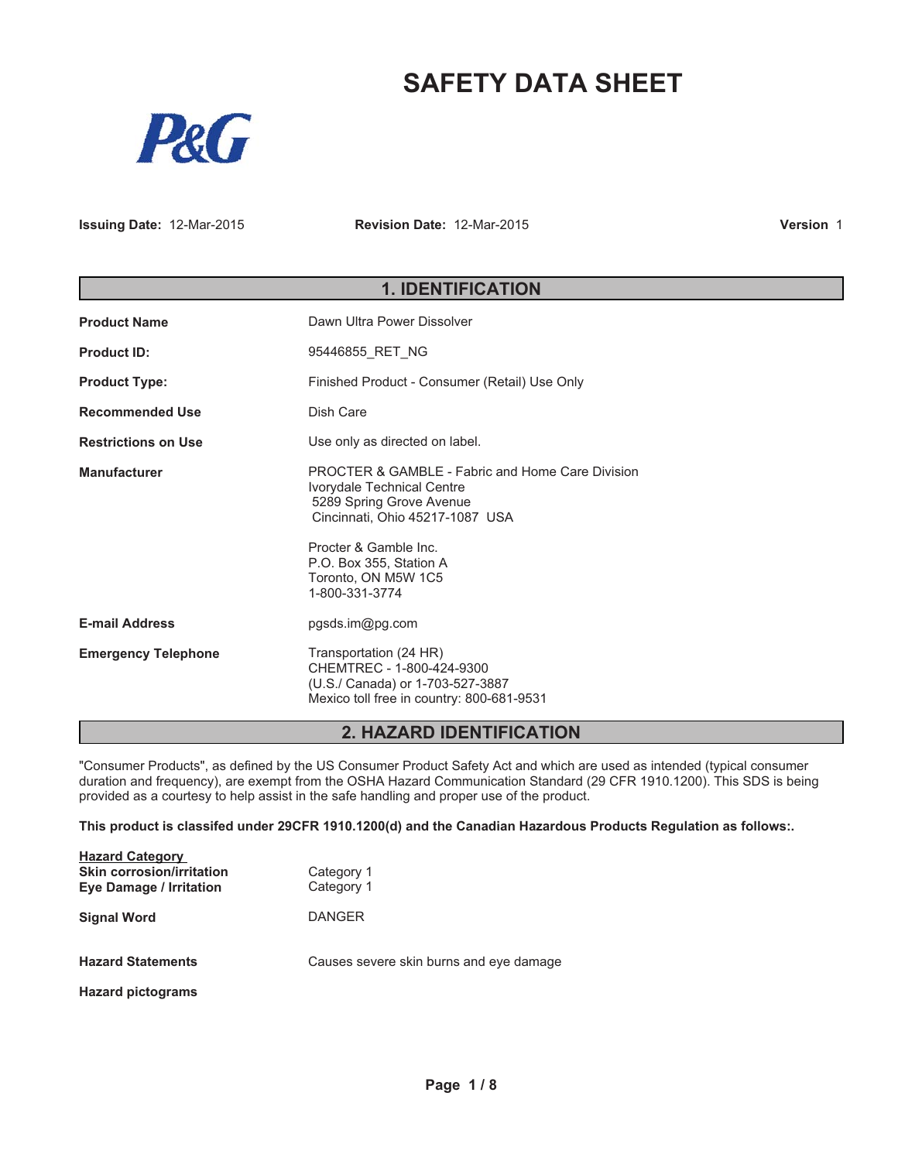# **SAFETY DATA SHEET**



**Issuing Date:** 12-Mar-2015 **Revision Date:** 12-Mar-2015

**Version** 1

# **1. IDENTIFICATION**

| <b>Product Name</b>        | Dawn Ultra Power Dissolver                                                                                                                                                                                                          |  |  |
|----------------------------|-------------------------------------------------------------------------------------------------------------------------------------------------------------------------------------------------------------------------------------|--|--|
| <b>Product ID:</b>         | 95446855 RET NG                                                                                                                                                                                                                     |  |  |
| <b>Product Type:</b>       | Finished Product - Consumer (Retail) Use Only                                                                                                                                                                                       |  |  |
| <b>Recommended Use</b>     | Dish Care                                                                                                                                                                                                                           |  |  |
| <b>Restrictions on Use</b> | Use only as directed on label.                                                                                                                                                                                                      |  |  |
| <b>Manufacturer</b>        | <b>PROCTER &amp; GAMBLE - Fabric and Home Care Division</b><br>Ivorydale Technical Centre<br>5289 Spring Grove Avenue<br>Cincinnati, Ohio 45217-1087 USA<br>Procter & Gamble Inc.<br>P.O. Box 355, Station A<br>Toronto, ON M5W 1C5 |  |  |
|                            | 1-800-331-3774                                                                                                                                                                                                                      |  |  |
| <b>E-mail Address</b>      | pgsds.im@pg.com                                                                                                                                                                                                                     |  |  |
| <b>Emergency Telephone</b> | Transportation (24 HR)<br>CHEMTREC - 1-800-424-9300<br>(U.S./ Canada) or 1-703-527-3887<br>Mexico toll free in country: 800-681-9531                                                                                                |  |  |

### **2. HAZARD IDENTIFICATION**

"Consumer Products", as defined by the US Consumer Product Safety Act and which are used as intended (typical consumer duration and frequency), are exempt from the OSHA Hazard Communication Standard (29 CFR 1910.1200). This SDS is being provided as a courtesy to help assist in the safe handling and proper use of the product.

**This product is classifed under 29CFR 1910.1200(d) and the Canadian Hazardous Products Regulation as follows:.**

| <b>Hazard Category</b><br><b>Skin corrosion/irritation</b><br><b>Eye Damage / Irritation</b> | Category 1<br>Category 1                |
|----------------------------------------------------------------------------------------------|-----------------------------------------|
| <b>Signal Word</b>                                                                           | <b>DANGER</b>                           |
| <b>Hazard Statements</b>                                                                     | Causes severe skin burns and eye damage |
| <b>Hazard pictograms</b>                                                                     |                                         |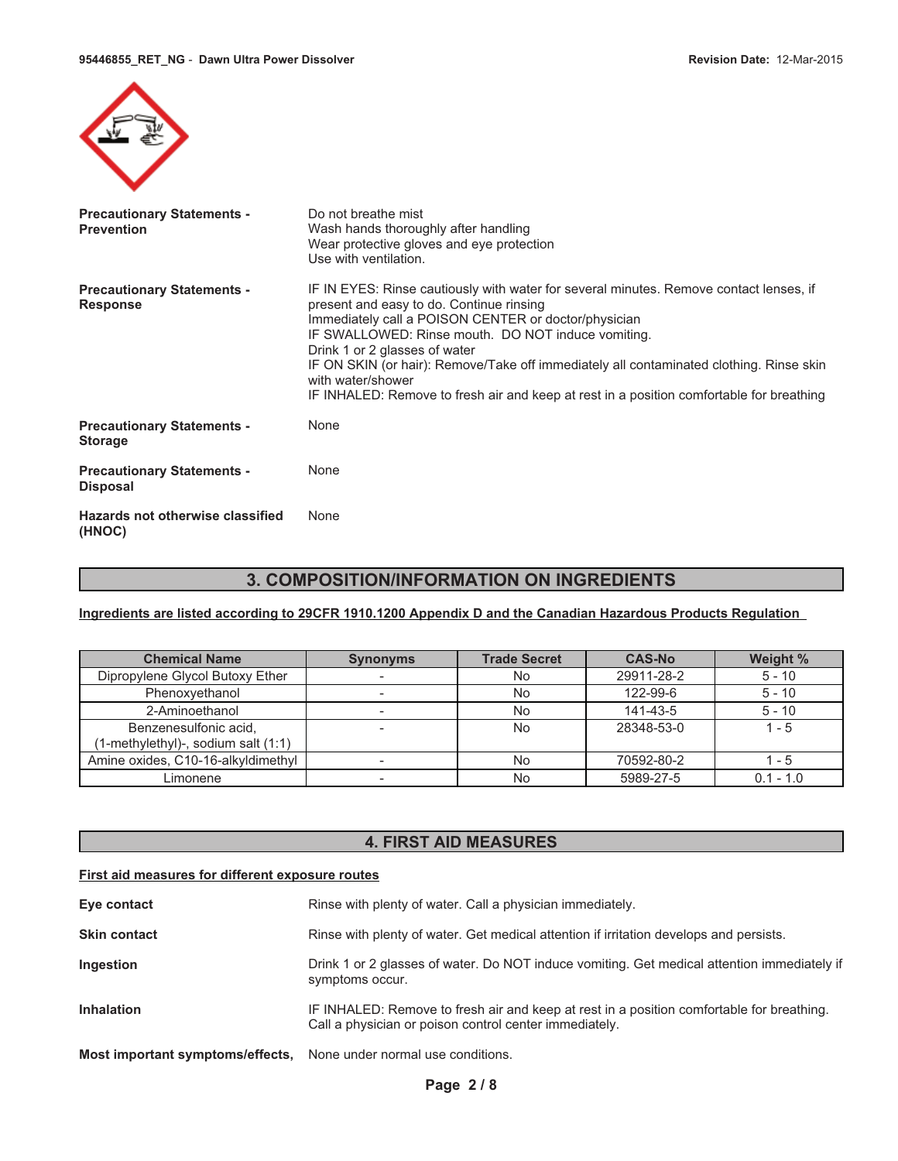

| <b>Precautionary Statements -</b><br><b>Prevention</b> | Do not breathe mist<br>Wash hands thoroughly after handling<br>Wear protective gloves and eye protection<br>Use with ventilation.                                                                                                                                                                                                                                                                                                                                                             |
|--------------------------------------------------------|-----------------------------------------------------------------------------------------------------------------------------------------------------------------------------------------------------------------------------------------------------------------------------------------------------------------------------------------------------------------------------------------------------------------------------------------------------------------------------------------------|
| <b>Precautionary Statements -</b><br><b>Response</b>   | IF IN EYES: Rinse cautiously with water for several minutes. Remove contact lenses, if<br>present and easy to do. Continue rinsing<br>Immediately call a POISON CENTER or doctor/physician<br>IF SWALLOWED: Rinse mouth. DO NOT induce vomiting.<br>Drink 1 or 2 glasses of water<br>IF ON SKIN (or hair): Remove/Take off immediately all contaminated clothing. Rinse skin<br>with water/shower<br>IF INHALED: Remove to fresh air and keep at rest in a position comfortable for breathing |
| <b>Precautionary Statements -</b><br><b>Storage</b>    | None                                                                                                                                                                                                                                                                                                                                                                                                                                                                                          |
| <b>Precautionary Statements -</b><br><b>Disposal</b>   | None                                                                                                                                                                                                                                                                                                                                                                                                                                                                                          |
| Hazards not otherwise classified<br>(HNOC)             | None                                                                                                                                                                                                                                                                                                                                                                                                                                                                                          |

# **3. COMPOSITION/INFORMATION ON INGREDIENTS**

**Ingredients are listed according to 29CFR 1910.1200 Appendix D and the Canadian Hazardous Products Regulation**

| <b>Chemical Name</b>                | <b>Synonyms</b> | <b>Trade Secret</b> | <b>CAS-No</b> | Weight %    |
|-------------------------------------|-----------------|---------------------|---------------|-------------|
| Dipropylene Glycol Butoxy Ether     |                 | No                  | 29911-28-2    | $5 - 10$    |
| Phenoxyethanol                      |                 | No                  | 122-99-6      | $5 - 10$    |
| 2-Aminoethanol                      |                 | No                  | 141-43-5      | $5 - 10$    |
| Benzenesulfonic acid,               |                 | <b>No</b>           | 28348-53-0    | $1 - 5$     |
| (1-methylethyl)-, sodium salt (1:1) |                 |                     |               |             |
| Amine oxides, C10-16-alkyldimethyl  |                 | No                  | 70592-80-2    | $1 - 5$     |
| Limonene                            |                 | No                  | 5989-27-5     | $0.1 - 1.0$ |

# **4. FIRST AID MEASURES**

### **First aid measures for different exposure routes**

| Eye contact                      | Rinse with plenty of water. Call a physician immediately.                                                                                           |
|----------------------------------|-----------------------------------------------------------------------------------------------------------------------------------------------------|
| <b>Skin contact</b>              | Rinse with plenty of water. Get medical attention if irritation develops and persists.                                                              |
| Ingestion                        | Drink 1 or 2 glasses of water. Do NOT induce vomiting. Get medical attention immediately if<br>symptoms occur.                                      |
| <b>Inhalation</b>                | IF INHALED: Remove to fresh air and keep at rest in a position comfortable for breathing.<br>Call a physician or poison control center immediately. |
| Most important symptoms/effects, | None under normal use conditions.                                                                                                                   |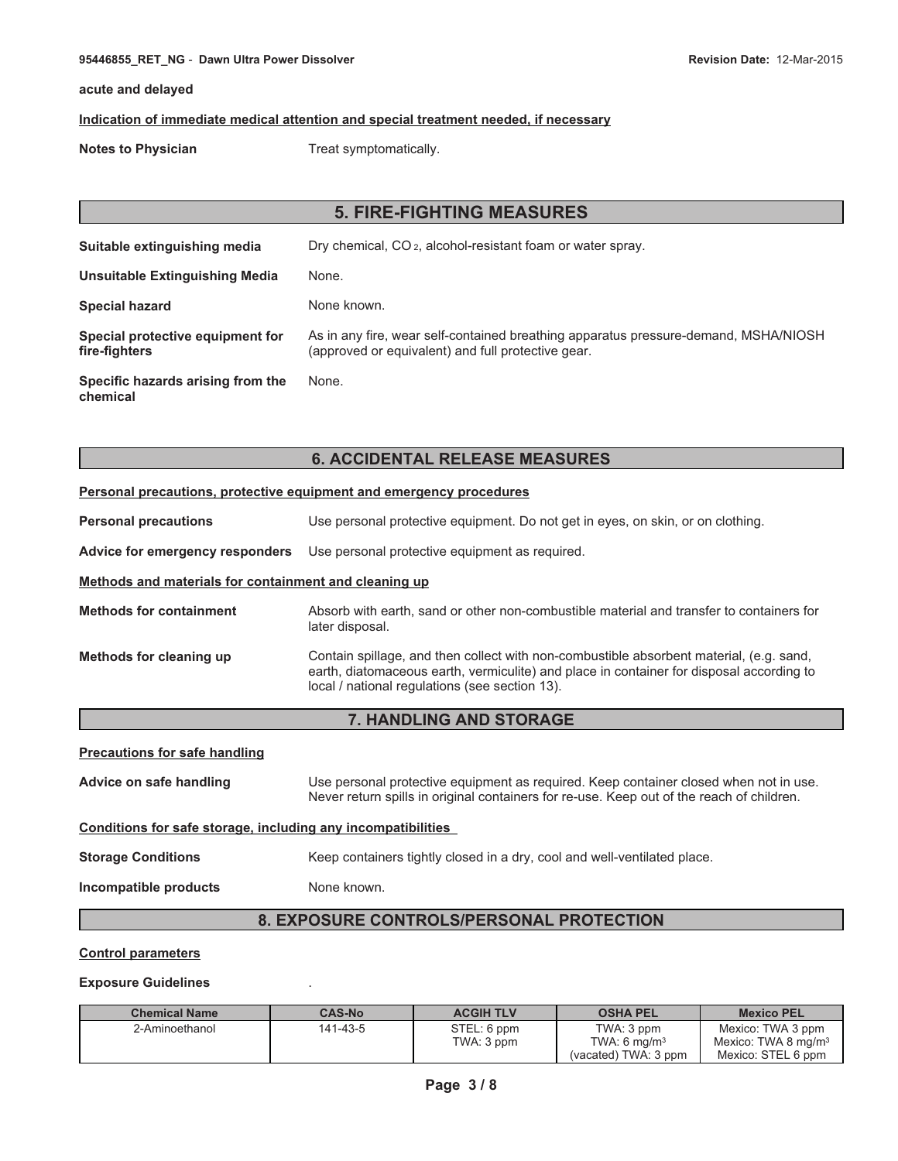#### **95446855\_RET\_NG** - **Dawn Ultra Power Dissolver Revision Date:** 12-Mar-2015

### **acute and delayed**

### **Indication of immediate medical attention and special treatment needed, if necessary**

**Notes to Physician** Treat symptomatically.

| <b>5. FIRE-FIGHTING MEASURES</b>                  |                                                                                                                                           |  |  |
|---------------------------------------------------|-------------------------------------------------------------------------------------------------------------------------------------------|--|--|
| Suitable extinguishing media                      | Dry chemical, CO <sub>2</sub> , alcohol-resistant foam or water spray.                                                                    |  |  |
| Unsuitable Extinguishing Media                    | None.                                                                                                                                     |  |  |
| <b>Special hazard</b>                             | None known.                                                                                                                               |  |  |
| Special protective equipment for<br>fire-fighters | As in any fire, wear self-contained breathing apparatus pressure-demand, MSHA/NIOSH<br>(approved or equivalent) and full protective gear. |  |  |
| Specific hazards arising from the<br>chemical     | None.                                                                                                                                     |  |  |

### **6. ACCIDENTAL RELEASE MEASURES**

#### **Personal precautions, protective equipment and emergency procedures**

|  | <b>Personal precautions</b> |  | Use personal protective equipment. Do not get in eyes, on skin, or on clothing. |
|--|-----------------------------|--|---------------------------------------------------------------------------------|
|--|-----------------------------|--|---------------------------------------------------------------------------------|

**Advice for emergency responders** Use personal protective equipment as required.

#### **Methods and materials for containment and cleaning up**

| <b>Methods for containment</b> | Absorb with earth, sand or other non-combustible material and transfer to containers for |
|--------------------------------|------------------------------------------------------------------------------------------|
|                                | later disposal.                                                                          |

**Methods for cleaning up** Contain spillage, and then collect with non-combustible absorbent material, (e.g. sand, earth, diatomaceous earth, vermiculite) and place in container for disposal according to local / national regulations (see section 13).

### **7. HANDLING AND STORAGE**

| <b>Precautions for safe handling</b>                         |                                                                                                                                                                                    |  |  |
|--------------------------------------------------------------|------------------------------------------------------------------------------------------------------------------------------------------------------------------------------------|--|--|
| Advice on safe handling                                      | Use personal protective equipment as required. Keep container closed when not in use.<br>Never return spills in original containers for re-use. Keep out of the reach of children. |  |  |
| Conditions for safe storage, including any incompatibilities |                                                                                                                                                                                    |  |  |
| <b>Storage Conditions</b>                                    | Keep containers tightly closed in a dry, cool and well-ventilated place.                                                                                                           |  |  |
| Incompatible products                                        | None known.                                                                                                                                                                        |  |  |
| <b>8. EXPOSURE CONTROLS/PERSONAL PROTECTION</b>              |                                                                                                                                                                                    |  |  |

### **Control parameters**

#### **Exposure Guidelines** .

| <b>Chemical Name</b> | <b>CAS-No</b> | <b>ACGIH TLV</b> | <b>OSHA PEL</b>      | <b>Mexico PEL</b>      |
|----------------------|---------------|------------------|----------------------|------------------------|
| 2-Aminoethanol       | 141-43-5      | STEL: 6 ppm      | TWA: 3 ppm           | Mexico: TWA 3 ppm      |
|                      |               | TWA: 3 ppm       | TWA: 6 $ma/m3$       | Mexico: TWA 8 mg/m $3$ |
|                      |               |                  | (vacated) TWA: 3 ppm | Mexico: STEL 6 ppm     |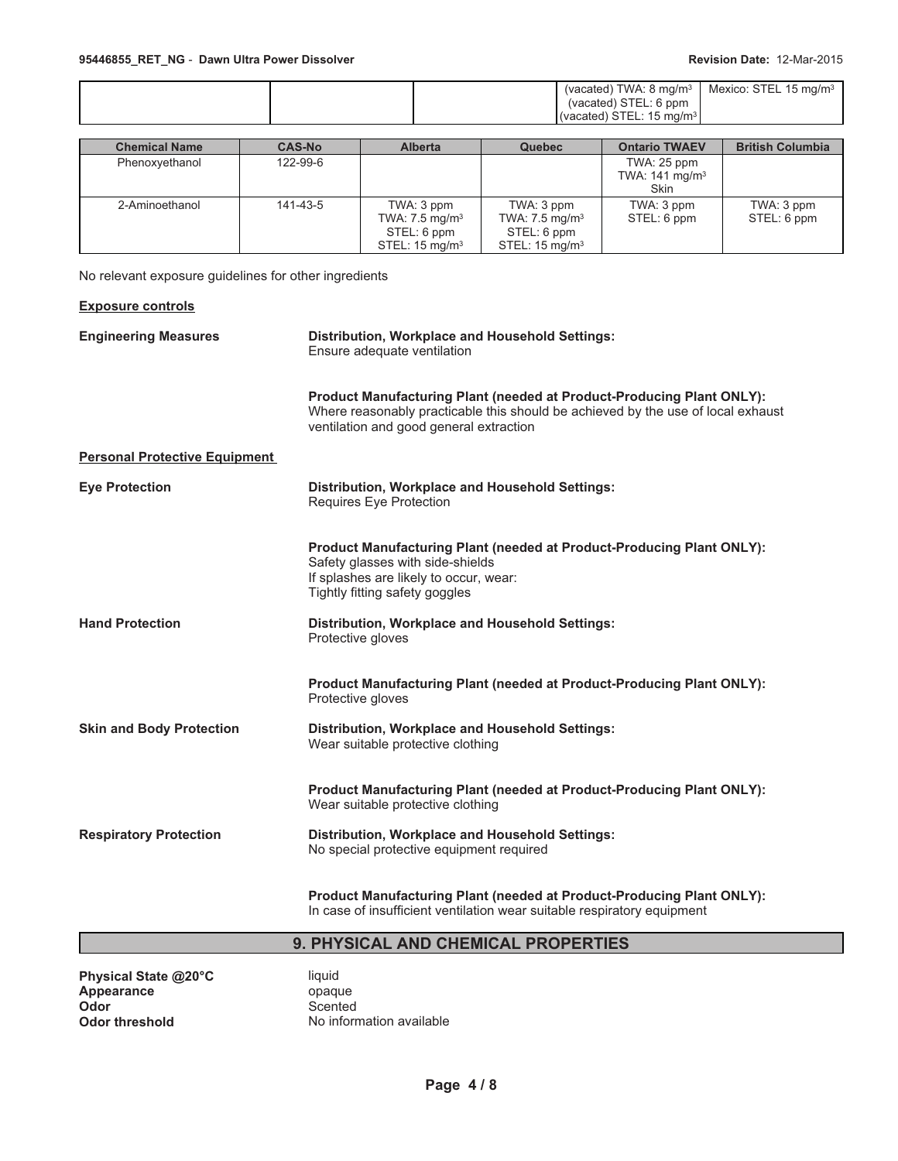|  |  |  | (vacated) STEL: 6 ppm<br>$\frac{1}{2}$ (vacated) STEL: 15 mg/m <sup>3</sup> | (vacated) TWA: 8 mg/m <sup>3</sup>   Mexico: STEL 15 mg/m <sup>3</sup> |
|--|--|--|-----------------------------------------------------------------------------|------------------------------------------------------------------------|
|--|--|--|-----------------------------------------------------------------------------|------------------------------------------------------------------------|

| <b>Chemical Name</b> | <b>CAS-No</b> | <b>Alberta</b>                                                                      | <b>Quebec</b>                                                                       | <b>Ontario TWAEV</b>                                    | <b>British Columbia</b>   |
|----------------------|---------------|-------------------------------------------------------------------------------------|-------------------------------------------------------------------------------------|---------------------------------------------------------|---------------------------|
| Phenoxyethanol       | 122-99-6      |                                                                                     |                                                                                     | TWA: 25 ppm<br>TWA: $141 \text{ mg/m}^3$<br><b>Skin</b> |                           |
| 2-Aminoethanol       | 141-43-5      | TWA: 3 ppm<br>TWA: $7.5 \text{ mg/m}^3$<br>STEL: 6 ppm<br>STEL: $15 \text{ mg/m}^3$ | TWA: 3 ppm<br>TWA: $7.5 \text{ mg/m}^3$<br>STEL: 6 ppm<br>STEL: $15 \text{ mg/m}^3$ | TWA: 3 ppm<br>STEL: 6 ppm                               | TWA: 3 ppm<br>STEL: 6 ppm |

No relevant exposure guidelines for other ingredients

| <b>Exposure controls</b>             |                                                                                                                                                                                                             |
|--------------------------------------|-------------------------------------------------------------------------------------------------------------------------------------------------------------------------------------------------------------|
| <b>Engineering Measures</b>          | <b>Distribution, Workplace and Household Settings:</b><br>Ensure adequate ventilation                                                                                                                       |
|                                      | <b>Product Manufacturing Plant (needed at Product-Producing Plant ONLY):</b><br>Where reasonably practicable this should be achieved by the use of local exhaust<br>ventilation and good general extraction |
| <b>Personal Protective Equipment</b> |                                                                                                                                                                                                             |
| <b>Eye Protection</b>                | Distribution, Workplace and Household Settings:<br>Requires Eye Protection                                                                                                                                  |
|                                      | Product Manufacturing Plant (needed at Product-Producing Plant ONLY):<br>Safety glasses with side-shields<br>If splashes are likely to occur, wear:<br>Tightly fitting safety goggles                       |
| <b>Hand Protection</b>               | <b>Distribution, Workplace and Household Settings:</b><br>Protective gloves                                                                                                                                 |
|                                      | <b>Product Manufacturing Plant (needed at Product-Producing Plant ONLY):</b><br>Protective gloves                                                                                                           |
| <b>Skin and Body Protection</b>      | <b>Distribution, Workplace and Household Settings:</b><br>Wear suitable protective clothing                                                                                                                 |
|                                      | Product Manufacturing Plant (needed at Product-Producing Plant ONLY):<br>Wear suitable protective clothing                                                                                                  |
| <b>Respiratory Protection</b>        | <b>Distribution, Workplace and Household Settings:</b><br>No special protective equipment required                                                                                                          |
|                                      | <b>Product Manufacturing Plant (needed at Product-Producing Plant ONLY):</b><br>In case of insufficient ventilation wear suitable respiratory equipment                                                     |

# **9. PHYSICAL AND CHEMICAL PROPERTIES**

**Physical State @20°C** liquid<br> **Appearance** opaque Appearance<br>Odor **Odor** Scented<br> **Odor threshold** No inform

**No information available**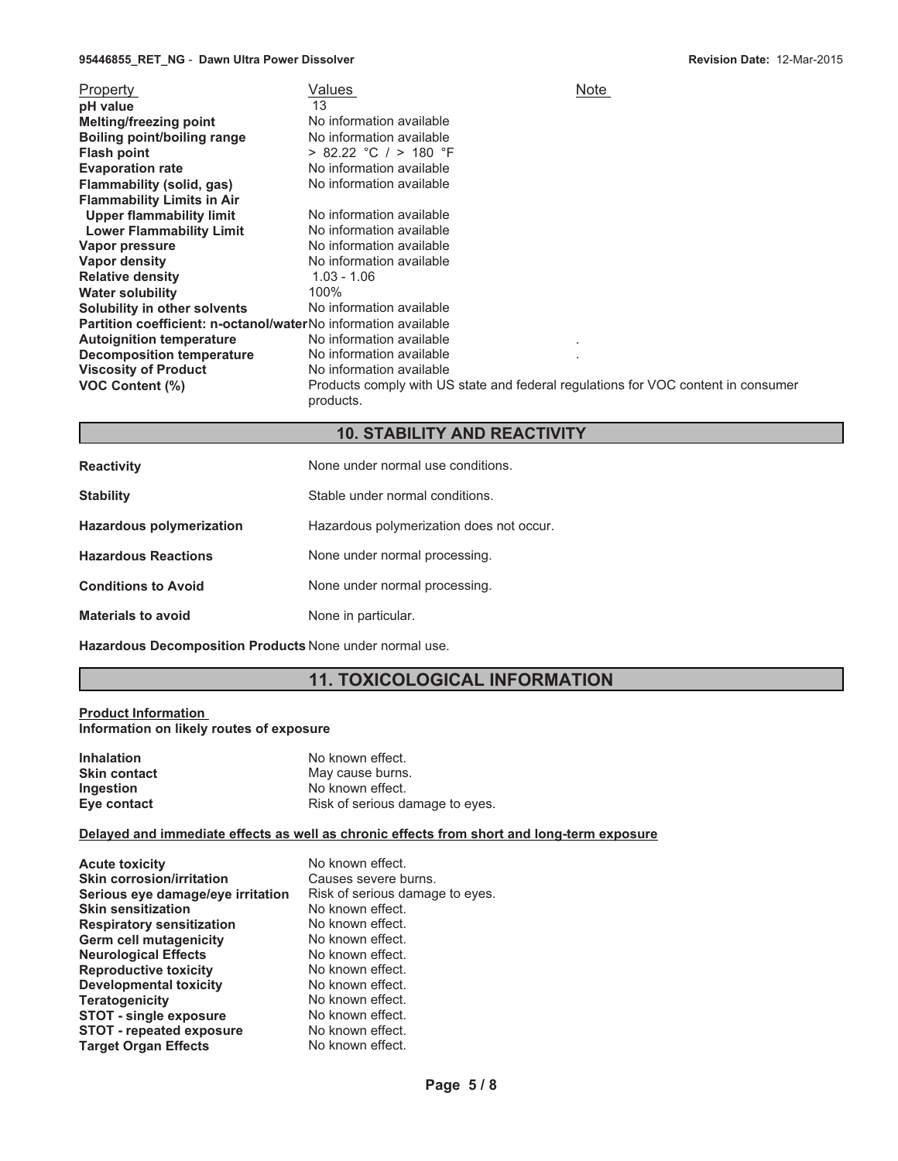#### **95446855\_RET\_NG** - **Dawn Ultra Power Dissolver**

| Property<br>pH value<br><b>Melting/freezing point</b><br>Boiling point/boiling range<br><b>Flash point</b><br><b>Evaporation rate</b><br>Flammability (solid, gas)<br><b>Flammability Limits in Air</b><br><b>Upper flammability limit</b><br><b>Lower Flammability Limit</b><br>Vapor pressure<br>Vapor density<br><b>Relative density</b><br><b>Water solubility</b><br>Solubility in other solvents<br>Partition coefficient: n-octanol/waterNo information available<br><b>Autoignition temperature</b><br><b>Decomposition temperature</b><br><b>Viscosity of Product</b><br><b>VOC Content (%)</b> | Values<br>13<br>No information available<br>No information available<br>$> 82.22$ °C / $> 180$ °F<br>No information available<br>No information available<br>No information available<br>No information available<br>No information available<br>No information available<br>$1.03 - 1.06$<br>100%<br>No information available<br>No information available<br>No information available<br>No information available<br>Products comply with US state and federal regulations for VOC content in consumer | Note<br>٠ |
|----------------------------------------------------------------------------------------------------------------------------------------------------------------------------------------------------------------------------------------------------------------------------------------------------------------------------------------------------------------------------------------------------------------------------------------------------------------------------------------------------------------------------------------------------------------------------------------------------------|---------------------------------------------------------------------------------------------------------------------------------------------------------------------------------------------------------------------------------------------------------------------------------------------------------------------------------------------------------------------------------------------------------------------------------------------------------------------------------------------------------|-----------|
|                                                                                                                                                                                                                                                                                                                                                                                                                                                                                                                                                                                                          | products.                                                                                                                                                                                                                                                                                                                                                                                                                                                                                               |           |

# **10. STABILITY AND REACTIVITY**

| <b>Reactivity</b>               | None under normal use conditions.        |  |
|---------------------------------|------------------------------------------|--|
| <b>Stability</b>                | Stable under normal conditions.          |  |
| <b>Hazardous polymerization</b> | Hazardous polymerization does not occur. |  |
| <b>Hazardous Reactions</b>      | None under normal processing.            |  |
| <b>Conditions to Avoid</b>      | None under normal processing.            |  |
| <b>Materials to avoid</b>       | None in particular.                      |  |

**Hazardous Decomposition Products** None under normal use.

# **11. TOXICOLOGICAL INFORMATION**

#### **Product Information Information on likely routes of exposure**

| <b>Inhalation</b>   | No known effect.                |  |
|---------------------|---------------------------------|--|
| <b>Skin contact</b> | May cause burns.                |  |
| <b>Ingestion</b>    | No known effect.                |  |
| Eye contact         | Risk of serious damage to eyes. |  |

### **Delayed and immediate effects as well as chronic effects from short and long-term exposure**

| <b>Acute toxicity</b>             | No known effect.                |
|-----------------------------------|---------------------------------|
| <b>Skin corrosion/irritation</b>  | Causes severe burns.            |
| Serious eye damage/eye irritation | Risk of serious damage to eyes. |
| <b>Skin sensitization</b>         | No known effect.                |
| <b>Respiratory sensitization</b>  | No known effect.                |
| Germ cell mutagenicity            | No known effect.                |
| <b>Neurological Effects</b>       | No known effect.                |
| <b>Reproductive toxicity</b>      | No known effect.                |
| <b>Developmental toxicity</b>     | No known effect.                |
| <b>Teratogenicity</b>             | No known effect.                |
| <b>STOT - single exposure</b>     | No known effect.                |
| <b>STOT - repeated exposure</b>   | No known effect.                |
| <b>Target Organ Effects</b>       | No known effect.                |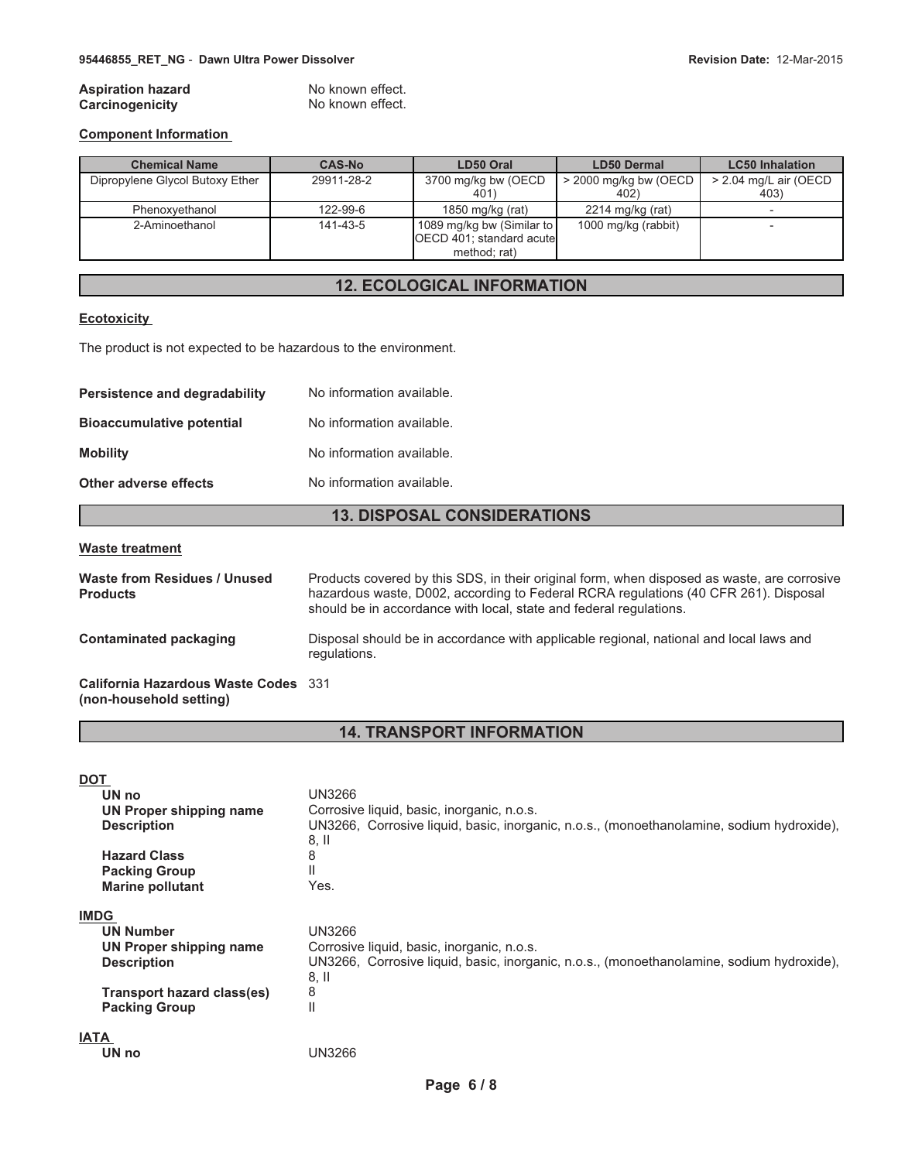#### **Aspiration hazard Carcinogenicity**

| No known effect. |  |
|------------------|--|
| No known effect  |  |

#### **Component Information**

| <b>Chemical Name</b>            | <b>CAS-No</b> | LD50 Oral                                                             | <b>LD50 Dermal</b>            | <b>LC50</b> Inhalation        |
|---------------------------------|---------------|-----------------------------------------------------------------------|-------------------------------|-------------------------------|
| Dipropylene Glycol Butoxy Ether | 29911-28-2    | 3700 mg/kg bw (OECD<br>401)                                           | > 2000 mg/kg bw (OECD<br>402) | > 2.04 mg/L air (OECD<br>403) |
| Phenoxvethanol                  | 122-99-6      | 1850 mg/kg (rat)                                                      | $2214$ mg/kg (rat)            |                               |
| 2-Aminoethanol                  | 141-43-5      | 1089 mg/kg bw (Similar to<br>OECD 401; standard acute<br>method; rat) | 1000 mg/kg (rabbit)           |                               |

# **12. ECOLOGICAL INFORMATION**

#### **Ecotoxicity**

The product is not expected to be hazardous to the environment.

| <b>Persistence and degradability</b> | No information available. |  |
|--------------------------------------|---------------------------|--|
| <b>Bioaccumulative potential</b>     | No information available. |  |
| <b>Mobility</b>                      | No information available. |  |
| Other adverse effects                | No information available. |  |

### **13. DISPOSAL CONSIDERATIONS**

#### **Waste treatment**

| Waste from Residues / Unused<br><b>Products</b>                 | Products covered by this SDS, in their original form, when disposed as waste, are corrosive<br>hazardous waste, D002, according to Federal RCRA regulations (40 CFR 261). Disposal<br>should be in accordance with local, state and federal regulations. |
|-----------------------------------------------------------------|----------------------------------------------------------------------------------------------------------------------------------------------------------------------------------------------------------------------------------------------------------|
| Contaminated packaging                                          | Disposal should be in accordance with applicable regional, national and local laws and<br>regulations.                                                                                                                                                   |
| California Hazardous Waste Codes 331<br>(non-household setting) |                                                                                                                                                                                                                                                          |

# **14. TRANSPORT INFORMATION**

| DOT                |                            |                                                                                           |
|--------------------|----------------------------|-------------------------------------------------------------------------------------------|
| UN no              |                            | <b>UN3266</b>                                                                             |
|                    | UN Proper shipping name    | Corrosive liquid, basic, inorganic, n.o.s.                                                |
| <b>Description</b> |                            | UN3266, Corrosive liquid, basic, inorganic, n.o.s., (monoethanolamine, sodium hydroxide), |
|                    |                            | 8, II                                                                                     |
|                    | <b>Hazard Class</b>        | 8                                                                                         |
|                    | <b>Packing Group</b>       | Ш                                                                                         |
|                    | <b>Marine pollutant</b>    | Yes.                                                                                      |
| <b>IMDG</b>        |                            |                                                                                           |
| <b>UN Number</b>   |                            | <b>UN3266</b>                                                                             |
|                    | UN Proper shipping name    | Corrosive liquid, basic, inorganic, n.o.s.                                                |
| <b>Description</b> |                            | UN3266, Corrosive liquid, basic, inorganic, n.o.s., (monoethanolamine, sodium hydroxide), |
|                    |                            | $8,$ II                                                                                   |
|                    | Transport hazard class(es) | 8                                                                                         |
|                    | <b>Packing Group</b>       | Ш                                                                                         |
| IATA               |                            |                                                                                           |
| UN no              |                            | UN3266                                                                                    |
|                    |                            |                                                                                           |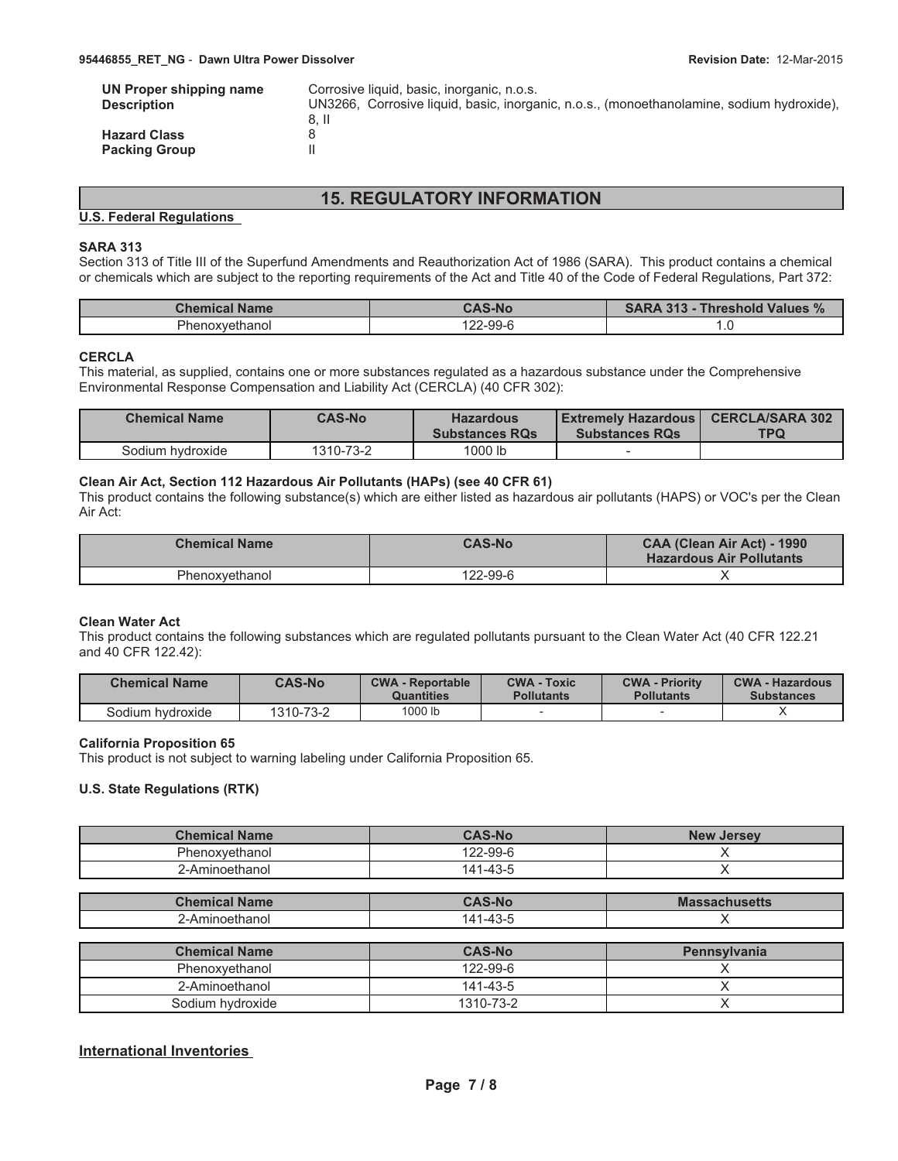| UN Proper shipping name | Corrosive liquid, basic, inorganic, n.o.s.                                                |
|-------------------------|-------------------------------------------------------------------------------------------|
| <b>Description</b>      | UN3266, Corrosive liquid, basic, inorganic, n.o.s., (monoethanolamine, sodium hydroxide), |
|                         | 8. II                                                                                     |
| <b>Hazard Class</b>     | Χ                                                                                         |
| <b>Packing Group</b>    |                                                                                           |

# **15. REGULATORY INFORMATION**

#### **U.S. Federal Regulations**

#### **SARA 313**

Section 313 of Title III of the Superfund Amendments and Reauthorization Act of 1986 (SARA). This product contains a chemical or chemicals which are subject to the reporting requirements of the Act and Title 40 of the Code of Federal Regulations, Part 372:

| <b>Chemical Name</b> | <b>CAS-No</b> | <b>SARA 313 - Threshold Values %</b> |
|----------------------|---------------|--------------------------------------|
| Phenoxvethanol       | 122-99-6      | $\cdot$ $\cdot$                      |

#### **CERCLA**

This material, as supplied, contains one or more substances regulated as a hazardous substance under the Comprehensive Environmental Response Compensation and Liability Act (CERCLA) (40 CFR 302):

| <b>Chemical Name</b> | <b>CAS-No</b> | <b>Hazardous</b><br><b>Substances RQs</b> | <b>Extremely Hazardous   CERCLA/SARA 302</b><br><b>Substances RQs</b> | <b>TPQ</b> |
|----------------------|---------------|-------------------------------------------|-----------------------------------------------------------------------|------------|
| Sodium hydroxide     | 1310-73-2     | 1000 lb                                   |                                                                       |            |

#### **Clean Air Act, Section 112 Hazardous Air Pollutants (HAPs) (see 40 CFR 61)**

This product contains the following substance(s) which are either listed as hazardous air pollutants (HAPS) or VOC's per the Clean Air Act:

| <b>Chemical Name</b> | <b>CAS-No</b> | CAA (Clean Air Act) - 1990<br><b>Hazardous Air Pollutants</b> |
|----------------------|---------------|---------------------------------------------------------------|
| Phenoxvethanol       | 122-99-6      |                                                               |

#### **Clean Water Act**

This product contains the following substances which are regulated pollutants pursuant to the Clean Water Act (40 CFR 122.21 and 40 CFR 122.42):

| <b>Chemical Name</b> | <b>CAS-No</b> | <b>CWA - Reportable</b><br>Quantities | <b>CWA - Toxic</b><br><b>Pollutants</b> | <b>CWA - Priority</b><br><b>Pollutants</b> | <b>CWA - Hazardous</b><br><b>Substances</b> |
|----------------------|---------------|---------------------------------------|-----------------------------------------|--------------------------------------------|---------------------------------------------|
| Sodium hvdroxide     | 1310-73-2     | 1000 lb                               |                                         |                                            |                                             |

#### **California Proposition 65**

This product is not subject to warning labeling under California Proposition 65.

#### **U.S. State Regulations (RTK)**

| <b>Chemical Name</b> | <b>CAS-No</b> | <b>New Jersey</b> |
|----------------------|---------------|-------------------|
| Phenoxvethanol       | 122-99-6      |                   |
| ∠-Aminoethanol       | 141-43-5      |                   |

| Chemical<br><b>Name</b>                             | <b>AS-No</b>                      | <b>Massachusetts</b> |
|-----------------------------------------------------|-----------------------------------|----------------------|
| $\Delta$ $\sim$<br>-----<br>unanoi<br>тиное<br>∕−HI | $\Lambda$ <sup>-</sup><br>ن-43- " |                      |

| <b>Chemical Name</b> | <b>CAS-No</b>  | <b>Pennsylvania</b> |
|----------------------|----------------|---------------------|
| Phenoxvethanol       | 122-99-6       |                     |
| 2-Aminoethanol       | $141 - 43 - 5$ |                     |
| Sodium hydroxide     | 1310-73-2      |                     |

### **International Inventories**